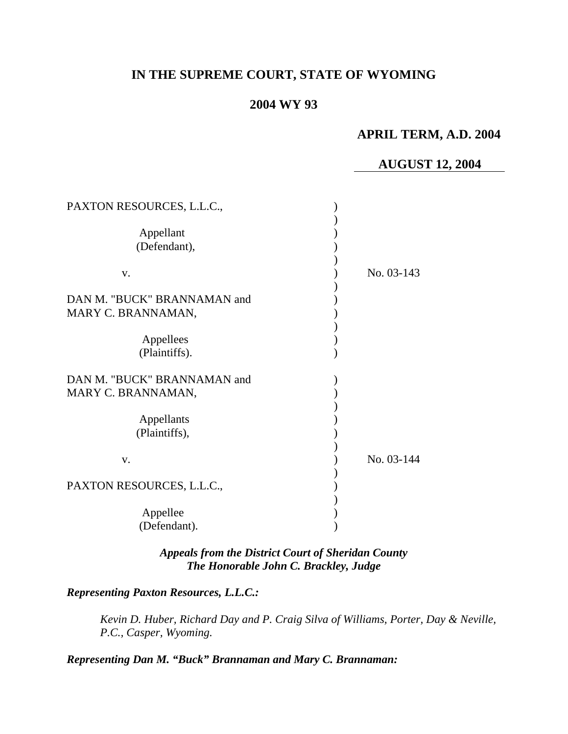# **IN THE SUPREME COURT, STATE OF WYOMING**

## **2004 WY 93**

## **APRIL TERM, A.D. 2004**

#### **AUGUST 12, 2004**

| PAXTON RESOURCES, L.L.C.,                                                       |            |
|---------------------------------------------------------------------------------|------------|
| Appellant<br>(Defendant),                                                       |            |
| V.                                                                              | No. 03-143 |
| DAN M. "BUCK" BRANNAMAN and<br>MARY C. BRANNAMAN,<br>Appellees<br>(Plaintiffs). |            |
| DAN M. "BUCK" BRANNAMAN and<br>MARY C. BRANNAMAN,                               |            |
| Appellants<br>(Plaintiffs),                                                     |            |
| V.                                                                              | No. 03-144 |
| PAXTON RESOURCES, L.L.C.,                                                       |            |
| Appellee<br>(Defendant).                                                        |            |

# *Appeals from the District Court of Sheridan County The Honorable John C. Brackley, Judge*

#### *Representing Paxton Resources, L.L.C.:*

*Kevin D. Huber, Richard Day and P. Craig Silva of Williams, Porter, Day & Neville, P.C., Casper, Wyoming.* 

*Representing Dan M. "Buck" Brannaman and Mary C. Brannaman:*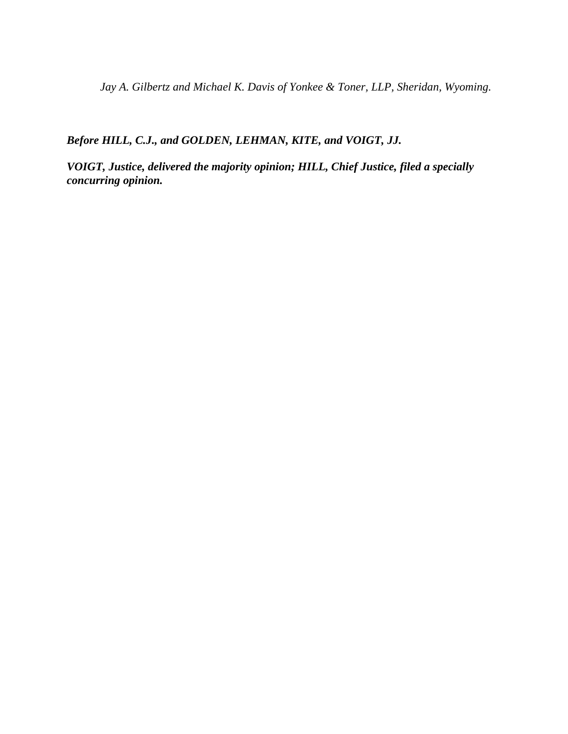*Jay A. Gilbertz and Michael K. Davis of Yonkee & Toner, LLP, Sheridan, Wyoming.* 

*Before HILL, C.J., and GOLDEN, LEHMAN, KITE, and VOIGT, JJ.* 

*VOIGT, Justice, delivered the majority opinion; HILL, Chief Justice, filed a specially concurring opinion.*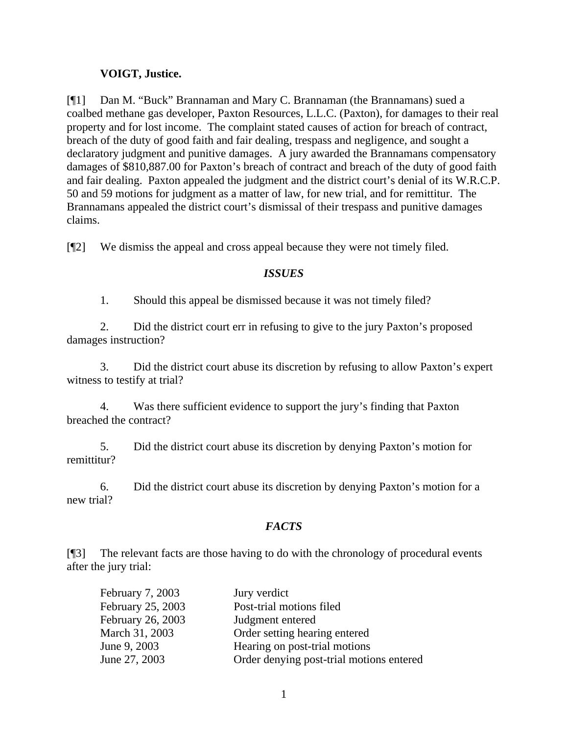#### **VOIGT, Justice.**

[¶1] Dan M. "Buck" Brannaman and Mary C. Brannaman (the Brannamans) sued a coalbed methane gas developer, Paxton Resources, L.L.C. (Paxton), for damages to their real property and for lost income. The complaint stated causes of action for breach of contract, breach of the duty of good faith and fair dealing, trespass and negligence, and sought a declaratory judgment and punitive damages. A jury awarded the Brannamans compensatory damages of \$810,887.00 for Paxton's breach of contract and breach of the duty of good faith and fair dealing. Paxton appealed the judgment and the district court's denial of its W.R.C.P. 50 and 59 motions for judgment as a matter of law, for new trial, and for remittitur. The Brannamans appealed the district court's dismissal of their trespass and punitive damages claims.

[¶2] We dismiss the appeal and cross appeal because they were not timely filed.

## *ISSUES*

1. Should this appeal be dismissed because it was not timely filed?

2. Did the district court err in refusing to give to the jury Paxton's proposed damages instruction?

3. Did the district court abuse its discretion by refusing to allow Paxton's expert witness to testify at trial?

4. Was there sufficient evidence to support the jury's finding that Paxton breached the contract?

5. Did the district court abuse its discretion by denying Paxton's motion for remittitur?

6. Did the district court abuse its discretion by denying Paxton's motion for a new trial?

# *FACTS*

[¶3] The relevant facts are those having to do with the chronology of procedural events after the jury trial:

| February 7, 2003  | Jury verdict                             |
|-------------------|------------------------------------------|
| February 25, 2003 | Post-trial motions filed                 |
| February 26, 2003 | Judgment entered                         |
| March 31, 2003    | Order setting hearing entered            |
| June 9, 2003      | Hearing on post-trial motions            |
| June 27, 2003     | Order denying post-trial motions entered |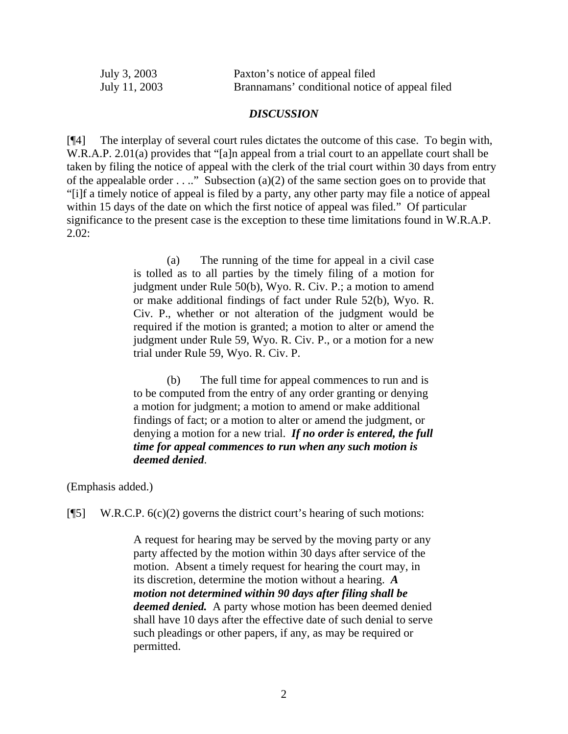| July 3, 2003  | Paxton's notice of appeal filed                |
|---------------|------------------------------------------------|
| July 11, 2003 | Brannamans' conditional notice of appeal filed |

#### *DISCUSSION*

[¶4] The interplay of several court rules dictates the outcome of this case. To begin with, W.R.A.P. 2.01(a) provides that "[a]n appeal from a trial court to an appellate court shall be taken by filing the notice of appeal with the clerk of the trial court within 30 days from entry of the appealable order  $\dots$ ." Subsection (a)(2) of the same section goes on to provide that "[i]f a timely notice of appeal is filed by a party, any other party may file a notice of appeal within 15 days of the date on which the first notice of appeal was filed." Of particular significance to the present case is the exception to these time limitations found in W.R.A.P. 2.02:

> (a) The running of the time for appeal in a civil case is tolled as to all parties by the timely filing of a motion for judgment under Rule 50(b), Wyo. R. Civ. P.; a motion to amend or make additional findings of fact under Rule 52(b), Wyo. R. Civ. P., whether or not alteration of the judgment would be required if the motion is granted; a motion to alter or amend the judgment under Rule 59, Wyo. R. Civ. P., or a motion for a new trial under Rule 59, Wyo. R. Civ. P.

> (b) The full time for appeal commences to run and is to be computed from the entry of any order granting or denying a motion for judgment; a motion to amend or make additional findings of fact; or a motion to alter or amend the judgment, or denying a motion for a new trial. *If no order is entered, the full time for appeal commences to run when any such motion is deemed denied*.

(Emphasis added.)

[ $\llbracket$ 5] W.R.C.P. 6(c)(2) governs the district court's hearing of such motions:

A request for hearing may be served by the moving party or any party affected by the motion within 30 days after service of the motion. Absent a timely request for hearing the court may, in its discretion, determine the motion without a hearing. *A motion not determined within 90 days after filing shall be deemed denied.* A party whose motion has been deemed denied shall have 10 days after the effective date of such denial to serve such pleadings or other papers, if any, as may be required or permitted.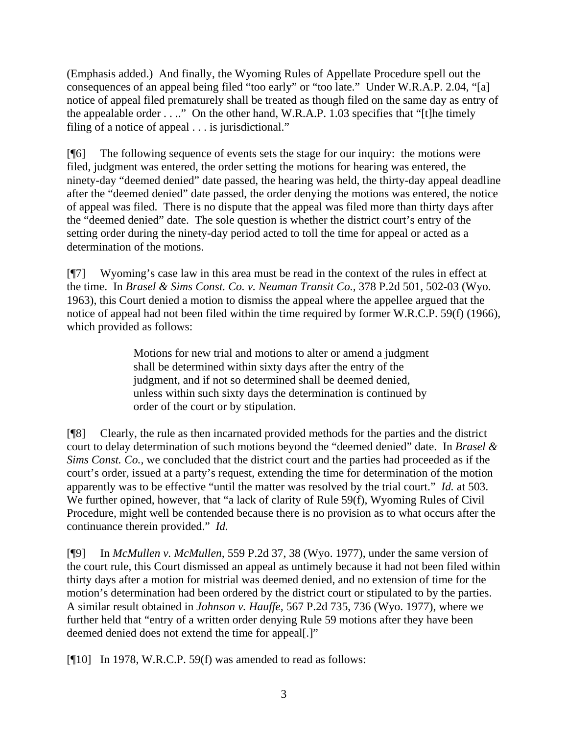(Emphasis added.) And finally, the Wyoming Rules of Appellate Procedure spell out the consequences of an appeal being filed "too early" or "too late." Under W.R.A.P. 2.04, "[a] notice of appeal filed prematurely shall be treated as though filed on the same day as entry of the appealable order . . .." On the other hand, W.R.A.P. 1.03 specifies that "[t]he timely filing of a notice of appeal . . . is jurisdictional."

[¶6] The following sequence of events sets the stage for our inquiry: the motions were filed, judgment was entered, the order setting the motions for hearing was entered, the ninety-day "deemed denied" date passed, the hearing was held, the thirty-day appeal deadline after the "deemed denied" date passed, the order denying the motions was entered, the notice of appeal was filed. There is no dispute that the appeal was filed more than thirty days after the "deemed denied" date. The sole question is whether the district court's entry of the setting order during the ninety-day period acted to toll the time for appeal or acted as a determination of the motions.

[¶7] Wyoming's case law in this area must be read in the context of the rules in effect at the time. In *Brasel & Sims Const. Co. v. Neuman Transit Co.,* 378 P.2d 501, 502-03 (Wyo. 1963), this Court denied a motion to dismiss the appeal where the appellee argued that the notice of appeal had not been filed within the time required by former W.R.C.P. 59(f) (1966), which provided as follows:

> Motions for new trial and motions to alter or amend a judgment shall be determined within sixty days after the entry of the judgment, and if not so determined shall be deemed denied, unless within such sixty days the determination is continued by order of the court or by stipulation.

[¶8] Clearly, the rule as then incarnated provided methods for the parties and the district court to delay determination of such motions beyond the "deemed denied" date. In *Brasel & Sims Const. Co.,* we concluded that the district court and the parties had proceeded as if the court's order, issued at a party's request, extending the time for determination of the motion apparently was to be effective "until the matter was resolved by the trial court." *Id.* at 503. We further opined, however, that "a lack of clarity of Rule 59(f), Wyoming Rules of Civil Procedure, might well be contended because there is no provision as to what occurs after the continuance therein provided." *Id.*

[¶9] In *McMullen v. McMullen,* 559 P.2d 37, 38 (Wyo. 1977), under the same version of the court rule, this Court dismissed an appeal as untimely because it had not been filed within thirty days after a motion for mistrial was deemed denied, and no extension of time for the motion's determination had been ordered by the district court or stipulated to by the parties. A similar result obtained in *Johnson v. Hauffe,* 567 P.2d 735, 736 (Wyo. 1977), where we further held that "entry of a written order denying Rule 59 motions after they have been deemed denied does not extend the time for appeal[.]"

[¶10] In 1978, W.R.C.P. 59(f) was amended to read as follows: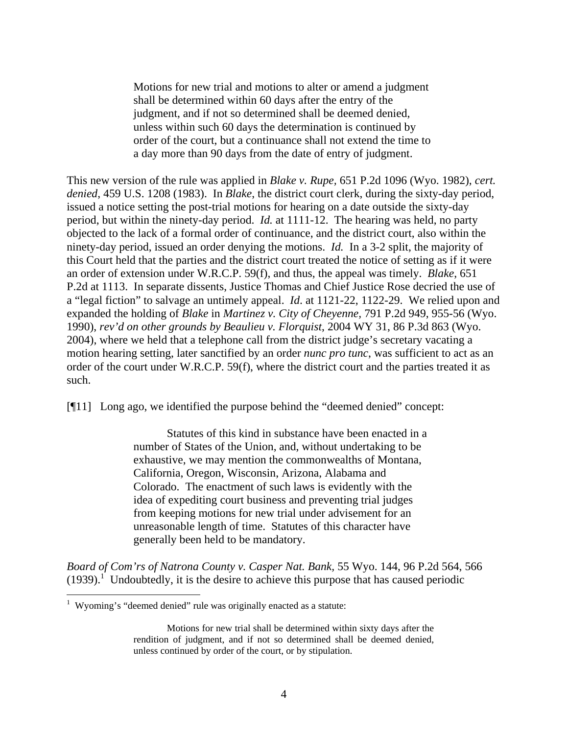Motions for new trial and motions to alter or amend a judgment shall be determined within 60 days after the entry of the judgment, and if not so determined shall be deemed denied, unless within such 60 days the determination is continued by order of the court, but a continuance shall not extend the time to a day more than 90 days from the date of entry of judgment.

This new version of the rule was applied in *Blake v. Rupe,* 651 P.2d 1096 (Wyo. 1982), *cert. denied*, 459 U.S. 1208 (1983). In *Blake*, the district court clerk, during the sixty-day period, issued a notice setting the post-trial motions for hearing on a date outside the sixty-day period, but within the ninety-day period. *Id.* at 1111-12. The hearing was held, no party objected to the lack of a formal order of continuance, and the district court, also within the ninety-day period, issued an order denying the motions. *Id.* In a 3-2 split, the majority of this Court held that the parties and the district court treated the notice of setting as if it were an order of extension under W.R.C.P. 59(f), and thus, the appeal was timely. *Blake*, 651 P.2d at 1113. In separate dissents, Justice Thomas and Chief Justice Rose decried the use of a "legal fiction" to salvage an untimely appeal. *Id*. at 1121-22, 1122-29. We relied upon and expanded the holding of *Blake* in *Martinez v. City of Cheyenne,* 791 P.2d 949, 955-56 (Wyo. 1990), *rev'd on other grounds by Beaulieu v. Florquist*, 2004 WY 31, 86 P.3d 863 (Wyo. 2004), where we held that a telephone call from the district judge's secretary vacating a motion hearing setting, later sanctified by an order *nunc pro tunc*, was sufficient to act as an order of the court under W.R.C.P. 59(f), where the district court and the parties treated it as such.

[¶11] Long ago, we identified the purpose behind the "deemed denied" concept:

Statutes of this kind in substance have been enacted in a number of States of the Union, and, without undertaking to be exhaustive, we may mention the commonwealths of Montana, California, Oregon, Wisconsin, Arizona, Alabama and Colorado. The enactment of such laws is evidently with the idea of expediting court business and preventing trial judges from keeping motions for new trial under advisement for an unreasonable length of time. Statutes of this character have generally been held to be mandatory.

*Board of Com'rs of Natrona County v. Casper Nat. Bank,* 55 Wyo. 144, 96 P.2d 564, 566  $(1939).$ <sup>1</sup> Undoubtedly, it is the desire to achieve this purpose that has caused periodic

 1 Wyoming's "deemed denied" rule was originally enacted as a statute:

Motions for new trial shall be determined within sixty days after the rendition of judgment, and if not so determined shall be deemed denied, unless continued by order of the court, or by stipulation.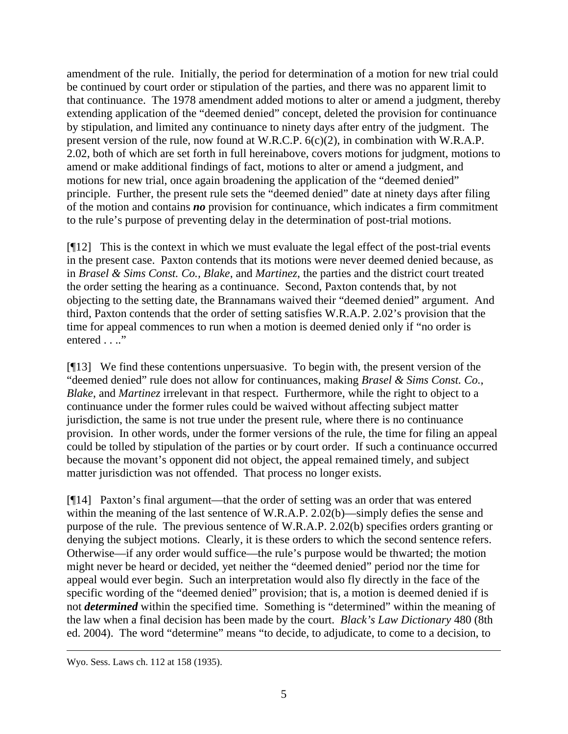amendment of the rule. Initially, the period for determination of a motion for new trial could be continued by court order or stipulation of the parties, and there was no apparent limit to that continuance. The 1978 amendment added motions to alter or amend a judgment, thereby extending application of the "deemed denied" concept, deleted the provision for continuance by stipulation, and limited any continuance to ninety days after entry of the judgment. The present version of the rule, now found at W.R.C.P. 6(c)(2), in combination with W.R.A.P. 2.02, both of which are set forth in full hereinabove, covers motions for judgment, motions to amend or make additional findings of fact, motions to alter or amend a judgment, and motions for new trial, once again broadening the application of the "deemed denied" principle. Further, the present rule sets the "deemed denied" date at ninety days after filing of the motion and contains *no* provision for continuance, which indicates a firm commitment to the rule's purpose of preventing delay in the determination of post-trial motions.

[¶12] This is the context in which we must evaluate the legal effect of the post-trial events in the present case. Paxton contends that its motions were never deemed denied because, as in *Brasel & Sims Const. Co., Blake*, and *Martinez*, the parties and the district court treated the order setting the hearing as a continuance. Second, Paxton contends that, by not objecting to the setting date, the Brannamans waived their "deemed denied" argument. And third, Paxton contends that the order of setting satisfies W.R.A.P. 2.02's provision that the time for appeal commences to run when a motion is deemed denied only if "no order is entered . . .."

[¶13] We find these contentions unpersuasive. To begin with, the present version of the "deemed denied" rule does not allow for continuances, making *Brasel & Sims Const. Co.*, *Blake*, and *Martinez* irrelevant in that respect. Furthermore, while the right to object to a continuance under the former rules could be waived without affecting subject matter jurisdiction, the same is not true under the present rule, where there is no continuance provision. In other words, under the former versions of the rule, the time for filing an appeal could be tolled by stipulation of the parties or by court order. If such a continuance occurred because the movant's opponent did not object, the appeal remained timely, and subject matter jurisdiction was not offended. That process no longer exists.

[¶14] Paxton's final argument—that the order of setting was an order that was entered within the meaning of the last sentence of W.R.A.P. 2.02(b)—simply defies the sense and purpose of the rule. The previous sentence of W.R.A.P. 2.02(b) specifies orders granting or denying the subject motions. Clearly, it is these orders to which the second sentence refers. Otherwise—if any order would suffice—the rule's purpose would be thwarted; the motion might never be heard or decided, yet neither the "deemed denied" period nor the time for appeal would ever begin. Such an interpretation would also fly directly in the face of the specific wording of the "deemed denied" provision; that is, a motion is deemed denied if is not *determined* within the specified time. Something is "determined" within the meaning of the law when a final decision has been made by the court. *Black's Law Dictionary* 480 (8th ed. 2004). The word "determine" means "to decide, to adjudicate, to come to a decision, to

 $\overline{a}$ 

Wyo. Sess. Laws ch. 112 at 158 (1935).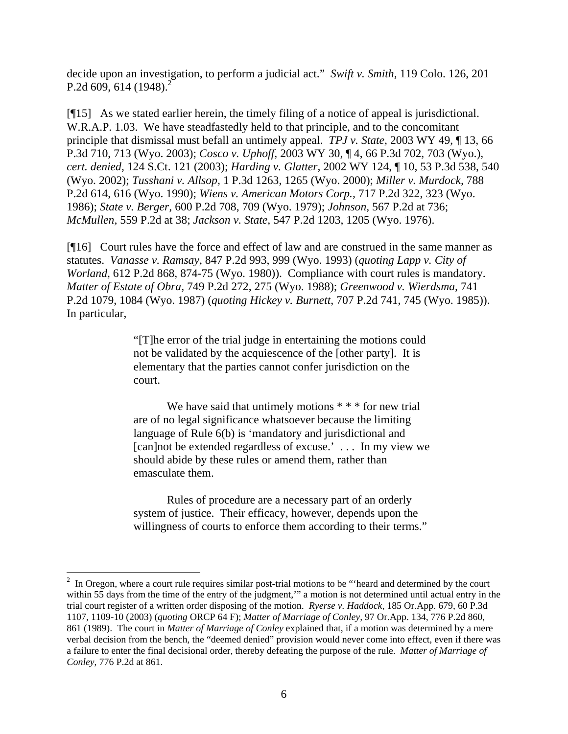decide upon an investigation, to perform a judicial act." *Swift v. Smith,* 119 Colo. 126, 201 P.2d 609, 614 (1948).<sup>2</sup>

[¶15] As we stated earlier herein, the timely filing of a notice of appeal is jurisdictional. W.R.A.P. 1.03. We have steadfastedly held to that principle, and to the concomitant principle that dismissal must befall an untimely appeal. *TPJ v. State,* 2003 WY 49, ¶ 13, 66 P.3d 710, 713 (Wyo. 2003); *Cosco v. Uphoff,* 2003 WY 30, ¶ 4, 66 P.3d 702, 703 (Wyo.), *cert. denied*, 124 S.Ct. 121 (2003); *Harding v. Glatter,* 2002 WY 124, ¶ 10, 53 P.3d 538, 540 (Wyo. 2002); *Tusshani v. Allsop,* 1 P.3d 1263, 1265 (Wyo. 2000); *Miller v. Murdock,* 788 P.2d 614, 616 (Wyo. 1990); *Wiens v. American Motors Corp.,* 717 P.2d 322, 323 (Wyo. 1986); *State v. Berger,* 600 P.2d 708, 709 (Wyo. 1979); *Johnson,* 567 P.2d at 736; *McMullen,* 559 P.2d at 38; *Jackson v. State,* 547 P.2d 1203, 1205 (Wyo. 1976).

[¶16] Court rules have the force and effect of law and are construed in the same manner as statutes. *Vanasse v. Ramsay,* 847 P.2d 993, 999 (Wyo. 1993) (*quoting Lapp v. City of Worland*, 612 P.2d 868, 874-75 (Wyo. 1980)). Compliance with court rules is mandatory. *Matter of Estate of Obra,* 749 P.2d 272, 275 (Wyo. 1988); *Greenwood v. Wierdsma,* 741 P.2d 1079, 1084 (Wyo. 1987) (*quoting Hickey v. Burnett*, 707 P.2d 741, 745 (Wyo. 1985)). In particular,

> "[T]he error of the trial judge in entertaining the motions could not be validated by the acquiescence of the [other party]. It is elementary that the parties cannot confer jurisdiction on the court.

We have said that untimely motions  $**$  for new trial are of no legal significance whatsoever because the limiting language of Rule 6(b) is 'mandatory and jurisdictional and [can]not be extended regardless of excuse.' . . . In my view we should abide by these rules or amend them, rather than emasculate them.

Rules of procedure are a necessary part of an orderly system of justice. Their efficacy, however, depends upon the willingness of courts to enforce them according to their terms."

 $\overline{a}$ 

 $2\;$  In Oregon, where a court rule requires similar post-trial motions to be "'heard and determined by the court within 55 days from the time of the entry of the judgment," a motion is not determined until actual entry in the trial court register of a written order disposing of the motion. *Ryerse v. Haddock,* 185 Or.App. 679, 60 P.3d 1107, 1109-10 (2003) (*quoting* ORCP 64 F); *Matter of Marriage of Conley,* 97 Or.App. 134, 776 P.2d 860, 861 (1989). The court in *Matter of Marriage of Conley* explained that, if a motion was determined by a mere verbal decision from the bench, the "deemed denied" provision would never come into effect, even if there was a failure to enter the final decisional order, thereby defeating the purpose of the rule. *Matter of Marriage of Conley*, 776 P.2d at 861.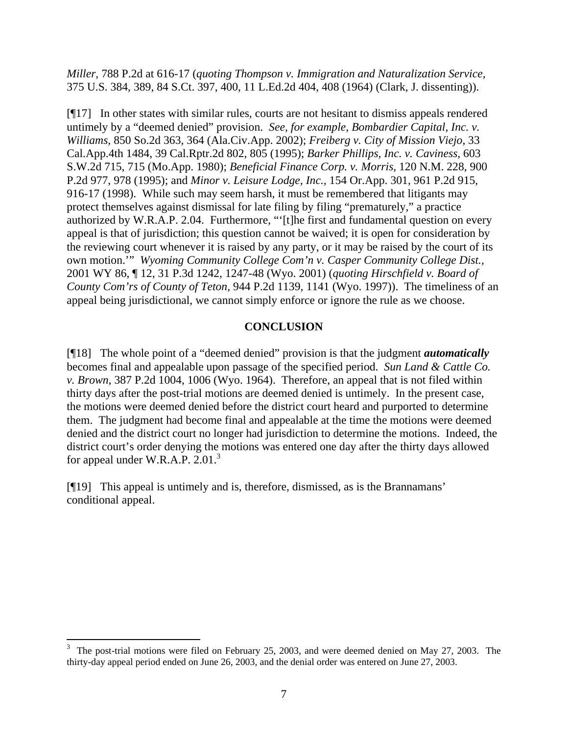*Miller,* 788 P.2d at 616-17 (*quoting Thompson v. Immigration and Naturalization Service,*  375 U.S. 384, 389, 84 S.Ct. 397, 400, 11 L.Ed.2d 404, 408 (1964) (Clark, J. dissenting)).

[¶17] In other states with similar rules, courts are not hesitant to dismiss appeals rendered untimely by a "deemed denied" provision. *See, for example, Bombardier Capital, Inc. v. Williams,* 850 So.2d 363, 364 (Ala.Civ.App. 2002); *Freiberg v. City of Mission Viejo,* 33 Cal.App.4th 1484, 39 Cal.Rptr.2d 802, 805 (1995); *Barker Phillips, Inc. v. Caviness,* 603 S.W.2d 715, 715 (Mo.App. 1980); *Beneficial Finance Corp. v. Morris,* 120 N.M. 228, 900 P.2d 977, 978 (1995); and *Minor v. Leisure Lodge, Inc.,* 154 Or.App. 301, 961 P.2d 915, 916-17 (1998). While such may seem harsh, it must be remembered that litigants may protect themselves against dismissal for late filing by filing "prematurely," a practice authorized by W.R.A.P. 2.04. Furthermore, "'[t]he first and fundamental question on every appeal is that of jurisdiction; this question cannot be waived; it is open for consideration by the reviewing court whenever it is raised by any party, or it may be raised by the court of its own motion.'" *Wyoming Community College Com'n v. Casper Community College Dist.,*  2001 WY 86, ¶ 12, 31 P.3d 1242, 1247-48 (Wyo. 2001) (*quoting Hirschfield v. Board of County Com'rs of County of Teton,* 944 P.2d 1139, 1141 (Wyo. 1997)). The timeliness of an appeal being jurisdictional, we cannot simply enforce or ignore the rule as we choose.

#### **CONCLUSION**

[¶18] The whole point of a "deemed denied" provision is that the judgment *automatically* becomes final and appealable upon passage of the specified period. *Sun Land & Cattle Co. v. Brown,* 387 P.2d 1004, 1006 (Wyo. 1964). Therefore, an appeal that is not filed within thirty days after the post-trial motions are deemed denied is untimely. In the present case, the motions were deemed denied before the district court heard and purported to determine them. The judgment had become final and appealable at the time the motions were deemed denied and the district court no longer had jurisdiction to determine the motions. Indeed, the district court's order denying the motions was entered one day after the thirty days allowed for appeal under W.R.A.P. 2.01.<sup>3</sup>

[¶19] This appeal is untimely and is, therefore, dismissed, as is the Brannamans' conditional appeal.

<sup>&</sup>lt;sup>2</sup><br>3 The post-trial motions were filed on February 25, 2003, and were deemed denied on May 27, 2003. The thirty-day appeal period ended on June 26, 2003, and the denial order was entered on June 27, 2003.